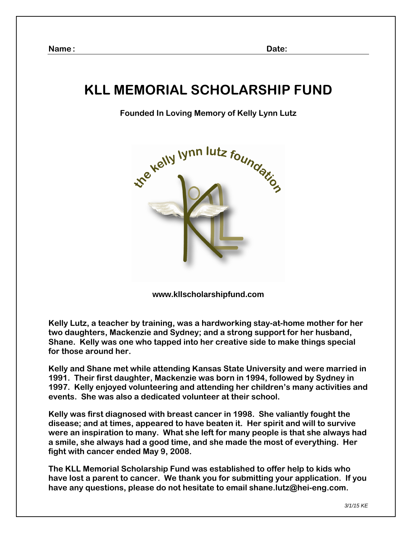# **KLL MEMORIAL SCHOLARSHIP FUND**

### **Founded In Loving Memory of Kelly Lynn Lutz**



**www.kllscholarshipfund.com** 

**Kelly Lutz, a teacher by training, was a hardworking stay-at-home mother for her two daughters, Mackenzie and Sydney; and a strong support for her husband, Shane. Kelly was one who tapped into her creative side to make things special for those around her.**

**Kelly and Shane met while attending Kansas State University and were married in 1991. Their first daughter, Mackenzie was born in 1994, followed by Sydney in 1997. Kelly enjoyed volunteering and attending her children's many activities and events. She was also a dedicated volunteer at their school.** 

**Kelly was first diagnosed with breast cancer in 1998. She valiantly fought the disease; and at times, appeared to have beaten it. Her spirit and will to survive were an inspiration to many. What she left for many people is that she always had a smile, she always had a good time, and she made the most of everything. Her fight with cancer ended May 9, 2008.** 

**The KLL Memorial Scholarship Fund was established to offer help to kids who have lost a parent to cancer. We thank you for submitting your application. If you have any questions, please do not hesitate to email shane.lutz@hei-eng.com.**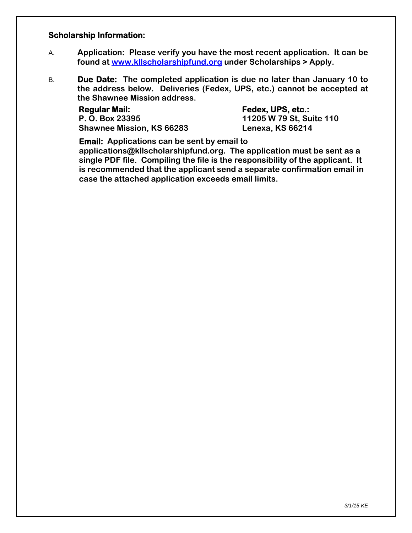#### **Scholarship Information:**

- A. **Application: Please verify you have the most recent application. It can be found at www.kllscholarshipfund.org under Scholarships > Apply.**
- B. **Due Date: The completed application is due no later than January 10 to the address below. Deliveries (Fedex, UPS, etc.) cannot be accepted at the Shawnee Mission address.**

Regular Mail: **Fedex, UPS, etc.: P. O. Box 23395 11205 W 79 St, Suite 110 Shawnee Mission, KS 66283 Lenexa, KS 66214** 

**Email: Applications can be sent by email to** 

**applications@kllscholarshipfund.org. The application must be sent as a single PDF file. Compiling the file is the responsibility of the applicant. It is recommended that the applicant send a separate confirmation email in case the attached application exceeds email limits.**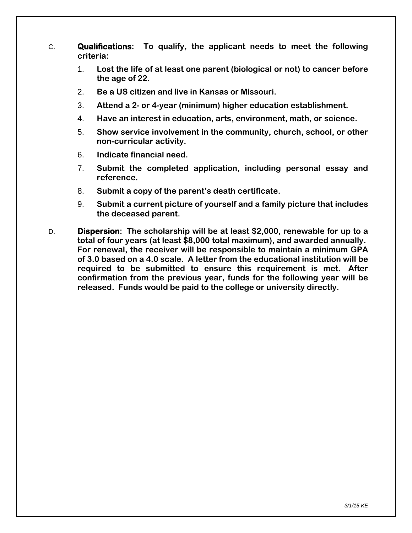- C. **Qualifications: To qualify, the applicant needs to meet the following criteria:** 
	- 1. **Lost the life of at least one parent (biological or not) to cancer before the age of 22.**
	- 2. **Be a US citizen and live in Kansas or Missouri.**
	- 3. **Attend a 2- or 4-year (minimum) higher education establishment.**
	- 4. **Have an interest in education, arts, environment, math, or science.**
	- 5. **Show service involvement in the community, church, school, or other non-curricular activity.**
	- 6. **Indicate financial need.**
	- 7. **Submit the completed application, including personal essay and reference.**
	- 8. **Submit a copy of the parent's death certificate.**
	- 9. **Submit a current picture of yourself and a family picture that includes the deceased parent.**
- D. **Dispersion: The scholarship will be at least \$2,000, renewable for up to a total of four years (at least \$8,000 total maximum), and awarded annually. For renewal, the receiver will be responsible to maintain a minimum GPA of 3.0 based on a 4.0 scale. A letter from the educational institution will be required to be submitted to ensure this requirement is met. After confirmation from the previous year, funds for the following year will be released. Funds would be paid to the college or university directly.**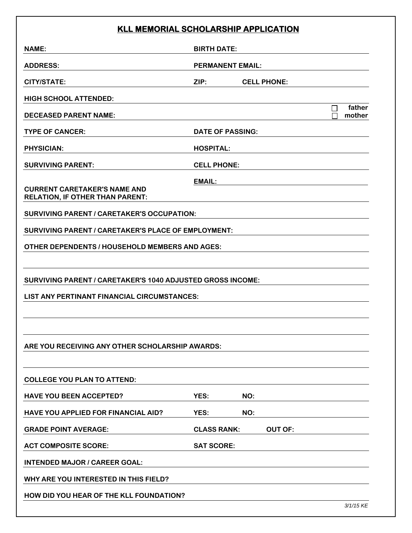## **KLL MEMORIAL SCHOLARSHIP APPLICATION**

| KLL MEMORIAL SCHOLARSHIP APPLICATION                                          |                         |                    |                |                  |  |
|-------------------------------------------------------------------------------|-------------------------|--------------------|----------------|------------------|--|
| <b>NAME:</b>                                                                  |                         | <b>BIRTH DATE:</b> |                |                  |  |
| <b>ADDRESS:</b>                                                               | <b>PERMANENT EMAIL:</b> |                    |                |                  |  |
| <b>CITY/STATE:</b>                                                            | ZIP:                    | <b>CELL PHONE:</b> |                |                  |  |
| <b>HIGH SCHOOL ATTENDED:</b>                                                  |                         |                    |                |                  |  |
| <b>DECEASED PARENT NAME:</b>                                                  |                         |                    | П              | father<br>mother |  |
| <b>TYPE OF CANCER:</b>                                                        | <b>DATE OF PASSING:</b> |                    |                |                  |  |
| <b>PHYSICIAN:</b>                                                             | <b>HOSPITAL:</b>        |                    |                |                  |  |
| <b>SURVIVING PARENT:</b>                                                      | <b>CELL PHONE:</b>      |                    |                |                  |  |
| <b>CURRENT CARETAKER'S NAME AND</b><br><b>RELATION, IF OTHER THAN PARENT:</b> | EMAIL:                  |                    |                |                  |  |
| <b>SURVIVING PARENT / CARETAKER'S OCCUPATION:</b>                             |                         |                    |                |                  |  |
| SURVIVING PARENT / CARETAKER'S PLACE OF EMPLOYMENT:                           |                         |                    |                |                  |  |
| OTHER DEPENDENTS / HOUSEHOLD MEMBERS AND AGES:                                |                         |                    |                |                  |  |
|                                                                               |                         |                    |                |                  |  |
| <b>SURVIVING PARENT / CARETAKER'S 1040 ADJUSTED GROSS INCOME:</b>             |                         |                    |                |                  |  |
| LIST ANY PERTINANT FINANCIAL CIRCUMSTANCES:                                   |                         |                    |                |                  |  |
|                                                                               |                         |                    |                |                  |  |
|                                                                               |                         |                    |                |                  |  |
| ARE YOU RECEIVING ANY OTHER SCHOLARSHIP AWARDS:                               |                         |                    |                |                  |  |
|                                                                               |                         |                    |                |                  |  |
| <b>COLLEGE YOU PLAN TO ATTEND:</b>                                            |                         |                    |                |                  |  |
| <b>HAVE YOU BEEN ACCEPTED?</b>                                                | YES:                    | NO:                |                |                  |  |
| HAVE YOU APPLIED FOR FINANCIAL AID?                                           | YES:                    | NO:                |                |                  |  |
| <b>GRADE POINT AVERAGE:</b>                                                   | <b>CLASS RANK:</b>      |                    | <b>OUT OF:</b> |                  |  |
| <b>ACT COMPOSITE SCORE:</b>                                                   | <b>SAT SCORE:</b>       |                    |                |                  |  |
| <b>INTENDED MAJOR / CAREER GOAL:</b>                                          |                         |                    |                |                  |  |
| WHY ARE YOU INTERESTED IN THIS FIELD?                                         |                         |                    |                |                  |  |
| HOW DID YOU HEAR OF THE KLL FOUNDATION?                                       |                         |                    |                |                  |  |
|                                                                               |                         |                    |                | 3/1/15 KE        |  |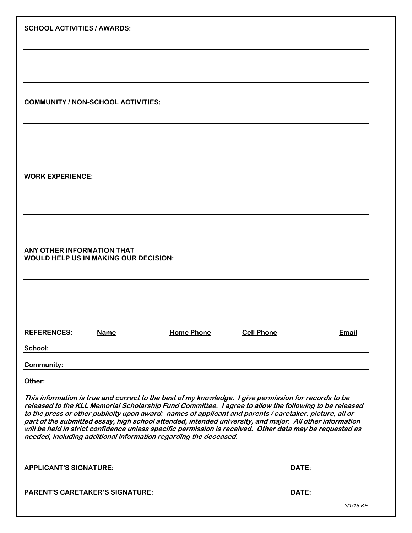| <b>SCHOOL ACTIVITIES / AWARDS:</b>                                                                                                                                                                                                                                                                                                                                                                                                                                                                                                                 |                   |                   |              |  |  |  |
|----------------------------------------------------------------------------------------------------------------------------------------------------------------------------------------------------------------------------------------------------------------------------------------------------------------------------------------------------------------------------------------------------------------------------------------------------------------------------------------------------------------------------------------------------|-------------------|-------------------|--------------|--|--|--|
|                                                                                                                                                                                                                                                                                                                                                                                                                                                                                                                                                    |                   |                   |              |  |  |  |
|                                                                                                                                                                                                                                                                                                                                                                                                                                                                                                                                                    |                   |                   |              |  |  |  |
|                                                                                                                                                                                                                                                                                                                                                                                                                                                                                                                                                    |                   |                   |              |  |  |  |
|                                                                                                                                                                                                                                                                                                                                                                                                                                                                                                                                                    |                   |                   |              |  |  |  |
| <b>COMMUNITY / NON-SCHOOL ACTIVITIES:</b>                                                                                                                                                                                                                                                                                                                                                                                                                                                                                                          |                   |                   |              |  |  |  |
|                                                                                                                                                                                                                                                                                                                                                                                                                                                                                                                                                    |                   |                   |              |  |  |  |
|                                                                                                                                                                                                                                                                                                                                                                                                                                                                                                                                                    |                   |                   |              |  |  |  |
|                                                                                                                                                                                                                                                                                                                                                                                                                                                                                                                                                    |                   |                   |              |  |  |  |
| <b>WORK EXPERIENCE:</b>                                                                                                                                                                                                                                                                                                                                                                                                                                                                                                                            |                   |                   |              |  |  |  |
|                                                                                                                                                                                                                                                                                                                                                                                                                                                                                                                                                    |                   |                   |              |  |  |  |
|                                                                                                                                                                                                                                                                                                                                                                                                                                                                                                                                                    |                   |                   |              |  |  |  |
|                                                                                                                                                                                                                                                                                                                                                                                                                                                                                                                                                    |                   |                   |              |  |  |  |
|                                                                                                                                                                                                                                                                                                                                                                                                                                                                                                                                                    |                   |                   |              |  |  |  |
| ANY OTHER INFORMATION THAT<br><b>WOULD HELP US IN MAKING OUR DECISION:</b>                                                                                                                                                                                                                                                                                                                                                                                                                                                                         |                   |                   |              |  |  |  |
|                                                                                                                                                                                                                                                                                                                                                                                                                                                                                                                                                    |                   |                   |              |  |  |  |
|                                                                                                                                                                                                                                                                                                                                                                                                                                                                                                                                                    |                   |                   |              |  |  |  |
|                                                                                                                                                                                                                                                                                                                                                                                                                                                                                                                                                    |                   |                   |              |  |  |  |
| <b>REFERENCES:</b><br><b>Name</b>                                                                                                                                                                                                                                                                                                                                                                                                                                                                                                                  | <b>Home Phone</b> | <b>Cell Phone</b> | <b>Email</b> |  |  |  |
| School:                                                                                                                                                                                                                                                                                                                                                                                                                                                                                                                                            |                   |                   |              |  |  |  |
| <b>Community:</b>                                                                                                                                                                                                                                                                                                                                                                                                                                                                                                                                  |                   |                   |              |  |  |  |
| Other:                                                                                                                                                                                                                                                                                                                                                                                                                                                                                                                                             |                   |                   |              |  |  |  |
| This information is true and correct to the best of my knowledge. I give permission for records to be<br>released to the KLL Memorial Scholarship Fund Committee. I agree to allow the following to be released<br>to the press or other publicity upon award: names of applicant and parents / caretaker, picture, all or<br>part of the submitted essay, high school attended, intended university, and major. All other information<br>will be held in strict confidence unless specific permission is received. Other data may be requested as |                   |                   |              |  |  |  |
| needed, including additional information regarding the deceased.                                                                                                                                                                                                                                                                                                                                                                                                                                                                                   |                   |                   |              |  |  |  |
| <b>APPLICANT'S SIGNATURE:</b>                                                                                                                                                                                                                                                                                                                                                                                                                                                                                                                      |                   | DATE:             |              |  |  |  |
| <b>PARENT'S CARETAKER'S SIGNATURE:</b>                                                                                                                                                                                                                                                                                                                                                                                                                                                                                                             |                   | DATE:             |              |  |  |  |
|                                                                                                                                                                                                                                                                                                                                                                                                                                                                                                                                                    |                   |                   | 3/1/15 KE    |  |  |  |
|                                                                                                                                                                                                                                                                                                                                                                                                                                                                                                                                                    |                   |                   |              |  |  |  |